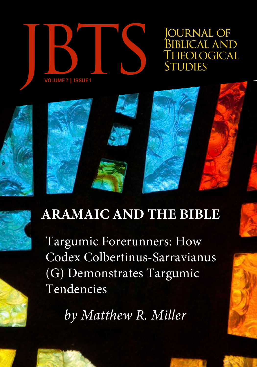

OURNAL OF BIBLICAL AND<br>THEOLOGICA<u>L</u>



Targumic Forerunners: How Codex Colbertinus-Sarravianus (G) Demonstrates Targumic Tendencies

*by Matthew R. Miller*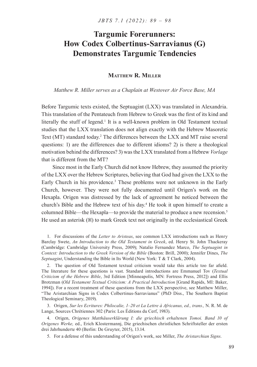# **Targumic Forerunners: How Codex Colbertinus-Sarravianus (G) Demonstrates Targumic Tendencies**

## **Matthew R. Miller**

*Matthew R. Miller serves as a Chaplain at Westover Air Force Base, MA*

Before Targumic texts existed, the Septuagint (LXX) was translated in Alexandria. This translation of the Pentateuch from Hebrew to Greek was the first of its kind and literally the stuff of legend.<sup>1</sup> It is a well-known problem in Old Testament textual studies that the LXX translation does not align exactly with the Hebrew Masoretic Text (MT) standard today.<sup>2</sup> The differences between the LXX and MT raise several questions: 1) are the differences due to different idioms? 2) is there a theological motivation behind the differences? 3) was the LXX translated from a Hebrew *Vorlage* that is different from the MT?

Since most in the Early Church did not know Hebrew, they assumed the priority of the LXX over the Hebrew Scriptures, believing that God had given the LXX to the Early Church in his providence.<sup>3</sup> These problems were not unknown in the Early Church, however. They were not fully documented until Origen's work on the Hexapla. Origen was distressed by the lack of agreement he noticed between the church's Bible and the Hebrew text of his day.<sup>4</sup> He took it upon himself to create a columned Bible—the Hexapla—to provide the material to produce a new recension.<sup>5</sup> He used an asterisk  $(X)$  to mark Greek text not originally in the ecclesiastical Greek

1. For discussions of the *Letter to Aristeas*, see common LXX introductions such as Henry Barclay Swete, *An Introduction to the Old Testament in Greek*, ed. Henry St. John Thackeray (Cambridge: Cambridge University Press, 2009); Natalio Fernandez Marco, *The Septuagint in Context: Introduction to the Greek Version of the Bible* (Boston: Brill, 2000); Jennifer Dines, *The Septuagint*, Understanding the Bible in Its World (New York: T & T Clark, 2004).

2. The question of Old Testament textual criticism would take this article too far afield. The literature for these questions is vast. Standard introductions are Emmanuel Tov (*Textual Criticism of the Hebrew Bible*, 3rd Edition [Minneapolis, MN: Fortress Press, 2012]) and Ellis Brotzman (*Old Testament Textual Criticism: A Practical Introduction* [Grand Rapids, MI: Baker, 1994]). For a recent treatment of these questions from the LXX perspective, see Matthew Miller, "The Aristarchian Signs in Codex Colbertinus-Sarravianus" (PhD Diss., The Southern Baptist Theological Seminary, 2019).

3. Origen, *Sur les Ecritures: Philocalie, 1–20 et La Lettre à Africanus, ed., trans.,* N. R. M. de Lange, Sources Chrétiennes 302 (Paris: Les Éditions du Cerf, 1983).

4. Origen, *Origenes Matthäuserklärung I: die griechisch erhaltenen Tomoi. Band 10 of Origenes Werke,* ed., Erich Klostermannj, Die griechischen christlichen Schriftsteller der ersten drei Jahrhunderte 40 (Berlin: De Gruyter, 2015), 13.14.

5. For a defense of this understanding of Origen's work, see Miller, *The Aristarchian Signs*.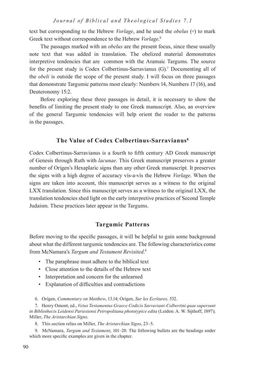*Journal of Biblical and Theological Studies 7.1*

text but corresponding to the Hebrew *Vorlage*, and he used the *obelus* (÷) to mark Greek text without correspondence to the Hebrew *Vorlage*. 6

The passages marked with an *obelus* are the present focus, since these usually note text that was added in translation. The obelized material demonstrates interpretive tendencies that are common with the Aramaic Targums. The source for the present study is Codex Colbertinus-Sarravianus (G).<sup>7</sup> Documenting all of the *obeli* is outside the scope of the present study. I will focus on three passages that demonstrate Targumic patterns most clearly: Numbers 14, Numbers 17 (16), and Deuteronomy 15:2.

Before exploring these three passages in detail, it is necessary to show the benefits of limiting the present study to one Greek manuscript. Also, an overview of the general Targumic tendencies will help orient the reader to the patterns in the passages.

# **The Value of Codex Colbertinus-Sarravianus8**

Codex Colbertinus-Sarravianus is a fourth to fifth century AD Greek manuscript of Genesis through Ruth with *lacunae*. This Greek manuscript preserves a greater number of Origen's Hexaplaric signs than any other Greek manuscript. It preserves the signs with a high degree of accuracy vìs-a-vìs the Hebrew *Vorlage*. When the signs are taken into account, this manuscript serves as a witness to the original LXX translation. Since this manuscript serves as a witness to the original LXX, the translation tendencies shed light on the early interpretive practices of Second Temple Judaism. These practices later appear in the Targums.

### **Targumic Patterns**

Before moving to the specific passages, it will be helpful to gain some background about what the different targumic tendencies are. The following characteristics come from McNamara's *Targum and Testament Revisited*. 9

- The paraphrase must adhere to the biblical text
- Close attention to the details of the Hebrew text
- Interpretation and concern for the unlearned
- Explanation of difficulties and contradictions

6. Origen, *Commentary on Matthew*, 13.14; Origen, *Sur les Ecritures,* 532.

7. Henry Omont, ed., *Vetus Testamentus Graece Codicis Sarraviani-Colbertini quae supersunt in Bibliothecis Leidensi Pariesiensi Petropolitana phototypice edita* (Leiden: A. W. Sijthoff, 1897); Miller, *The Aristarchian Signs*.

8. This section relies on Miller, *The Aristarchian Signs*, 23–5.

9. McNamara, *Targum and Testament*, 101–20. The following bullets are the headings under which more specific examples are given in the chapter.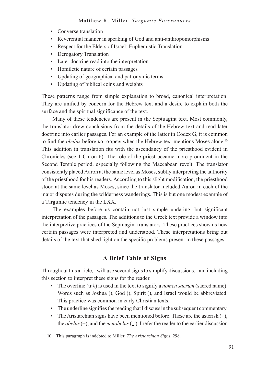- Converse translation
- Reverential manner in speaking of God and anti-anthropomorphisms
- Respect for the Elders of Israel: Euphemistic Translation
- Derogatory Translation
- Later doctrine read into the interpretation
- Homiletic nature of certain passages
- Updating of geographical and patronymic terms
- Updating of biblical coins and weights

These patterns range from simple explanation to broad, canonical interpretation. They are unified by concern for the Hebrew text and a desire to explain both the surface and the spiritual significance of the text.

Many of these tendencies are present in the Septuagint text. Most commonly, the translator drew conclusions from the details of the Hebrew text and read later doctrine into earlier passages. For an example of the latter in Codex G, it is common to find the *obelus* before και ααρων when the Hebrew text mentions Moses alone.<sup>10</sup> This addition in translation fits with the ascendancy of the priesthood evident in Chronicles (see 1 Chron 6). The role of the priest became more prominent in the Second Temple period, especially following the Maccabean revolt. The translator consistently placed Aaron at the same level as Moses, subtly interpreting the authority of the priesthood for his readers. According to this slight modification, the priesthood stood at the same level as Moses, since the translator included Aaron in each of the major disputes during the wilderness wanderings. This is but one modest example of a Targumic tendency in the LXX.

The examples before us contain not just simple updating, but significant interpretation of the passages. The additions to the Greek text provide a window into the interpretive practices of the Septuagint translators. These practices show us how certain passages were interpreted and understood. These interpretations bring out details of the text that shed light on the specific problems present in these passages.

# **A Brief Table of Signs**

Throughout this article, I will use several signs to simplify discussions. I am including this section to interpret these signs for the reader.

- The overline  $(\overline{u\gamma\lambda})$  is used in the text to signify a *nomen sacrum* (sacred name). Words such as Joshua (), God (), Spirit (), and Israel would be abbreviated. This practice was common in early Christian texts.
- The underline signifies the reading that I discuss in the subsequent commentary.
- The Aristarchian signs have been mentioned before. These are the asterisk  $(\div)$ , the *obelus*  $(\div)$ , and the *metobelus*  $(\swarrow)$ . I refer the reader to the earlier discussion

10. This paragraph is indebted to Miller, *The Aristarchian Signs*, 298.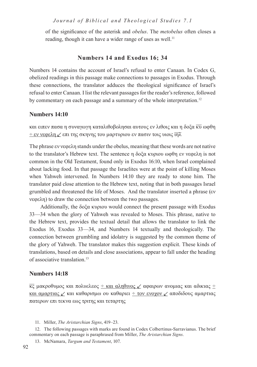*Journal of Biblical and Theological Studies 7.1*

of the significance of the asterisk and *obelus*. The *metobelus* often closes a reading, though it can have a wider range of uses as well.<sup>11</sup>

## **Numbers 14 and Exodus 16; 34**

Numbers 14 contains the account of Israel's refusal to enter Canaan. In Codex G, obelized readings in this passage make connections to passages in Exodus. Through these connections, the translator adduces the theological significance of Israel's refusal to enter Canaan. I list the relevant passages for the reader's reference, followed by commentary on each passage and a summary of the whole interpretation.<sup>12</sup>

## **Numbers 14:10**

και ειπεν πασα η συναγωγη καταλιθοβολησαι αυτους εν λιθοις και η δοξα κυ ωφθη  $\pm$  εν νεφελη  $\angle$  επι της σκηνης του μαρτυριου εν πασιν τοις υιοις  $\overline{\mathfrak{m}}\lambda$ 

The phrase εν νεφελη stands under the obelus, meaning that these words are not native to the translator's Hebrew text. The sentence η δοξα κυριου ωφθη εν νεφελη is not common in the Old Testament, found only in Exodus 16:10, when Israel complained about lacking food. In that passage the Israelites were at the point of killing Moses when Yahweh intervened. In Numbers 14:10 they are ready to stone him. The translator paid close attention to the Hebrew text, noting that in both passages Israel grumbled and threatened the life of Moses. And the translator inserted a phrase (εν νεφελη) to draw the connection between the two passages.

Additionally, the δοξα κυριου would connect the present passage with Exodus 33—34 when the glory of Yahweh was revealed to Moses. This phrase, native to the Hebrew text, provides the textual detail that allows the translator to link the Exodus 16, Exodus 33—34, and Numbers 14 textually and theologically. The connection between grumbling and idolatry is suggested by the common theme of the glory of Yahweh. The translator makes this suggestion explicit. These kinds of translations, based on details and close associations, appear to fall under the heading of associative translation.13

#### **Numbers 14:18**

 $\overline{\kappa}$ ς μακροθυμος και πολυελεος <u>÷ και αληθινος ∠</u> αφαιρων ανομιας και αδικιας  $\pm$ και αμαρτιας  $\angle$  και καθαρισμω ου καθαριει ÷ τον ενοχον  $\angle$  αποδιδους αμαρτιας πατερων επι τεκνα εως τριτης και τεταρτης

11. Miller, *The Aristarchian Signs*, 419–23.

12. The following passages with marks are found in Codex Colbertinus-Sarravianus. The brief commentary on each passage is paraphrased from Miller, *The Aristarchian Signs*.

13. McNamara, *Targum and Testament*, 107.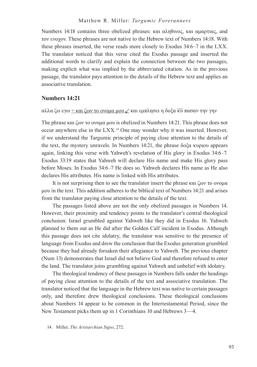#### Matthew R. Miller: *Targumic Forerunners*

Numbers 14:18 contains three obelized phrases: και αληθινος, και αμαρτιας, and τον ενοχον. These phrases are not native to the Hebrew text of Numbers 14:18. With these phrases inserted, the verse reads more closely to Exodus 34:6–7 in the LXX. The translator noticed that this verse cited the Exodus passage and inserted the additional words to clarify and explain the connection between the two passages, making explicit what was implied by the abbreviated citation. As in the previous passage, the translator pays attention to the details of the Hebrew text and applies an associative translation.

#### **Numbers 14:21**

#### αλλα ζω εγω  $\pm$  και ζων το ονομα μου  $\angle$  και εμπλησει η δοξα κυ πασαν την γην

The phrase και ζων το ονομα μου is obelized in Numbers 14:21. This phrase does not occur anywhere else in the LXX.<sup>14</sup> One may wonder why it was inserted. However, if we understand the Targumic principle of paying close attention to the details of the text, the mystery unravels. In Numbers 14:21, the phrase δοξα κυριου appears again, linking this verse with Yahweh's revelation of His glory in Exodus 34:6–7. Exodus 33:19 states that Yahweh will declare His name and make His glory pass before Moses. In Exodus 34:6–7 He does so. Yahweh declares His name as He also declares His attributes. His name is linked with His attributes.

It is not surprising then to see the translator insert the phrase και ζων το ονομα μου in the text. This addition adheres to the biblical text of Numbers 14:21 and arises from the translator paying close attention to the details of the text.

The passages listed above are not the only obelized passages in Numbers 14. However, their proximity and tendency points to the translator's central theological conclusion: Israel grumbled against Yahweh like they did in Exodus 16. Yahweh planned to them out as He did after the Golden Calf incident in Exodus. Although this passage does not cite idolatry, the translator was sensitive to the presence of language from Exodus and drew the conclusion that the Exodus generation grumbled because they had already forsaken their allegiance to Yahweh. The previous chapter (Num 13) demonstrates that Israel did not believe God and therefore refused to enter the land. The translator joins grumbling against Yahweh and unbelief with idolatry.

The theological tendency of these passages in Numbers falls under the headings of paying close attention to the details of the text and associative translation. The translator noticed that the language in the Hebrew text was native to certain passages only, and therefore drew theological conclusions. These theological conclusions about Numbers 14 appear to be common in the Intertestamental Period, since the New Testament picks them up in 1 Corinthians 10 and Hebrews 3—4.

14. Miller, *The Aristarchian Signs*, 272.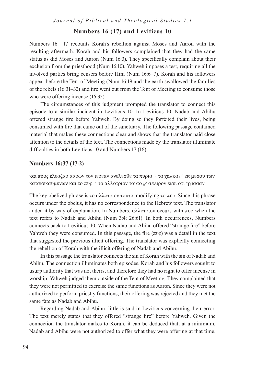## **Numbers 16 (17) and Leviticus 10**

Numbers 16—17 recounts Korah's rebellion against Moses and Aaron with the resulting aftermath. Korah and his followers complained that they had the same status as did Moses and Aaron (Num 16:3). They specifically complain about their exclusion from the priesthood (Num 16:10). Yahweh imposes a test, requiring all the involved parties bring censers before Him (Num 16:6–7). Korah and his followers appear before the Tent of Meeting (Num 16:19 and the earth swallowed the families of the rebels (16:31–32) and fire went out from the Tent of Meeting to consume those who were offering incense  $(16:35)$ .

The circumstances of this judgment prompted the translator to connect this episode to a similar incident in Leviticus 10. In Leviticus 10, Nadab and Abihu offered strange fire before Yahweh. By doing so they forfeited their lives, being consumed with fire that came out of the sanctuary. The following passage contained material that makes these connections clear and shows that the translator paid close attention to the details of the text. The connections made by the translator illuminate difficulties in both Leviticus 10 and Numbers 17 (16).

### **Numbers 16:37 (17:2)**

και προς ελεαζαρ ααρων τον ιερεαν ανελεσθε τα πυρια  $\pm$  τα χαλκα  $\angle$  εκ μεσου των κατακεκαυμενων και το πυρ  $\div$  το αλλοτριον τουτο  $\swarrow$  σπειρον εκει οτι ηγιασαν

The key obelized phrase is το αλλοτριον τουτο, modifying το πυρ. Since this phrase occurs under the obelus, it has no correspondence to the Hebrew text. The translator added it by way of explanation. In Numbers, αλλοτριον occurs with πυρ when the text refers to Nadab and Abihu (Num 3:4; 26:61). In both occurrences, Numbers connects back to Leviticus 10. When Nadab and Abihu offered "strange fire" before Yahweh they were consumed. In this passage, the fire  $(\pi \nu \rho)$  was a detail in the text that suggested the previous illicit offering. The translator was explicitly connecting the rebellion of Korah with the illicit offering of Nadab and Abihu.

In this passage the translator connects the sin of Korah with the sin of Nadab and Abihu. The connection illuminates both episodes. Korah and his followers sought to usurp authority that was not theirs, and therefore they had no right to offer incense in worship. Yahweh judged them outside of the Tent of Meeting. They complained that they were not permitted to exercise the same functions as Aaron. Since they were not authorized to perform priestly functions, their offering was rejected and they met the same fate as Nadab and Abihu.

Regarding Nadab and Abihu, little is said in Leviticus concerning their error. The text merely states that they offered "strange fire" before Yahweh. Given the connection the translator makes to Korah, it can be deduced that, at a minimum, Nadab and Abihu were not authorized to offer what they were offering at that time.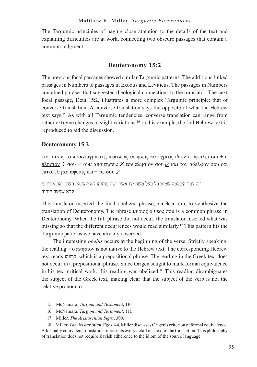The Targumic principles of paying close attention to the details of the text and explaining difficulties are at work, connecting two obscure passages that contain a common judgment.

# **Deuteronomy 15:2**

The previous focal passages showed similar Targumic patterns. The additions linked passages in Numbers to passages in Exodus and Leviticus. The passages in Numbers contained phrases that suggested theological connections to the translator. The next focal passage, Deut 15:2, illustrates a more complex Targumic principle: that of converse translation. A converse translation says the opposite of what the Hebrew text says.15 As with all Targumic tendencies, converse translation can range from rather extreme changes to slight variations.<sup>16</sup> In this example, the full Hebrew text is reproduced to aid the discussion.

# **Deuteronomy 15:2**

και ουτως το προσταγμα της αφεσεως αφησεις παν χρεος ιδιον ο οφειλει σοι ÷ ο πλησιον  $\mathbb{X}$  σου  $\ell$  ουκ απαιτησεις  $\mathbb{X}$  τον πλησιον σου  $\ell$  και τον αδελφον σου οτι επικεκληται αφεσις  $\overline{\kappa\omega} \div \tau\omega$  σου  $\angle$ 

וזה דבר הׁשמטה ׁשמוט כל בעל מׁשה ידו אׁשר יׁשה ברעהו לא יגׂש את רעהו ואת אחיו כי קרא ׁשמטה ליהוה

The translator inserted the final obelized phrase, τω θεω σου, to synthesize the translation of Deuteronomy. The phrase κυριος ο θεος σου is a common phrase in Deuteronomy. When the full phrase did not occur, the translator inserted what was missing so that the different occurrences would read similarly.17 This pattern fits the Targumic patterns we have already observed.

The interesting *obelus* occurs at the beginning of the verse. Strictly speaking, the reading  $\div$  ο πλησιον is not native to the Hebrew text. The corresponding Hebrew text reads ברעהו, which is a prepositional phrase. The reading in the Greek text does not occur in a prepositional phrase. Since Origen sought to mark formal equivalence in his text critical work, this reading was obelized.18 This reading disambiguates the subject of the Greek text, making clear that the subject of the verb is not the relative pronoun ο.

- 15. McNamara, *Targum and Testament*, 110.
- 16. McNamara, *Targum and Testament*, 111.
- 17. Miller, *The Aristarchian Signs*, 300.

18. Miller, *The Aristarchian Signs,* 44. Miller discusses Origen's criterion of formal equivalence. A formally equivalent translation represents every detail of a text in the translation. This philosophy of translation does not require slavish adherence to the idiom of the source language.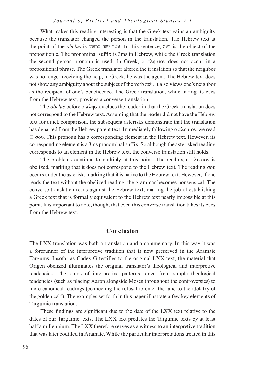#### *Journal of Biblical and Theological Studies 7.1*

What makes this reading interesting is that the Greek text gains an ambiguity because the translator changed the person in the translation. The Hebrew text at the point of the *obelus* is ברעהו שהׁי שרׁא. In this sentence, רעה is the object of the preposition ב. The pronominal suffix is 3ms in Hebrew, while the Greek translation the second person pronoun is used. In Greek, ο πλησιον does not occur in a prepositional phrase. The Greek translator altered the translation so that the neighbor was no longer receiving the help; in Greek, he was the agent. The Hebrew text does not show any ambiguity about the subject of the verb שהׁי. It also views one's neighbor as the recipient of one's beneficence. The Greek translation, while taking its cues from the Hebrew text, provides a converse translation.

The *obelus* before ο πλησιον clues the reader in that the Greek translation does not correspond to the Hebrew text. Assuming that the reader did not have the Hebrew text for quick comparison, the subsequent asterisks demonstrate that the translation has departed from the Hebrew parent text. Immediately following ο πλησιον, we read  $\Box$  σου. This pronoun has a corresponding element in the Hebrew text. However, its corresponding element is a 3ms pronominal suffix. So although the asterisked reading corresponds to an element in the Hebrew text, the converse translation still holds.

The problems continue to multiply at this point. The reading ο πλησιον is obelized, marking that it does not correspond to the Hebrew text. The reading σου occurs under the asterisk, marking that it is native to the Hebrew text. However, if one reads the text without the obelized reading, the grammar becomes nonsensical. The converse translation reads against the Hebrew text, making the job of establishing a Greek text that is formally equivalent to the Hebrew text nearly impossible at this point. It is important to note, though, that even this converse translation takes its cues from the Hebrew text.

#### **Conclusion**

The LXX translation was both a translation and a commentary. In this way it was a forerunner of the interpretive tradition that is now preserved in the Aramaic Targums. Insofar as Codex G testifies to the original LXX text, the material that Origen obelized illuminates the original translator's theological and interpretive tendencies. The kinds of interpretive patterns range from simple theological tendencies (such as placing Aaron alongside Moses throughout the controversies) to more canonical readings (connecting the refusal to enter the land to the idolatry of the golden calf). The examples set forth in this paper illustrate a few key elements of Targumic translation.

These findings are significant due to the date of the LXX text relative to the dates of our Targumic texts. The LXX text predates the Targumic texts by at least half a millennium. The LXX therefore serves as a witness to an interpretive tradition that was later codified in Aramaic. While the particular interpretations treated in this